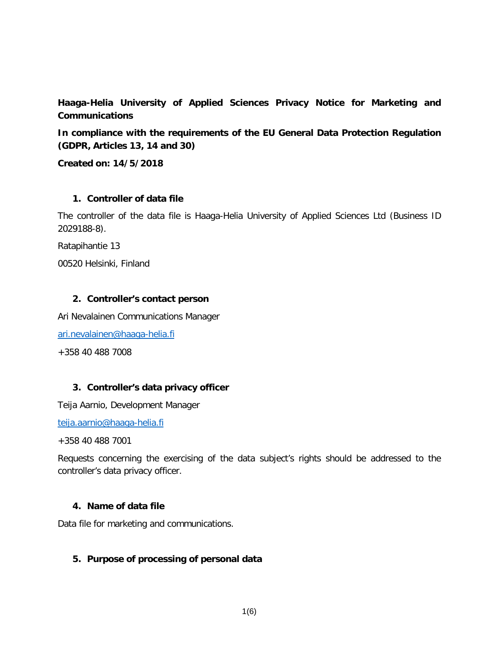**Haaga-Helia University of Applied Sciences Privacy Notice for Marketing and Communications**

**In compliance with the requirements of the EU General Data Protection Regulation (GDPR, Articles 13, 14 and 30)**

**Created on: 14/5/2018**

#### **1. Controller of data file**

The controller of the data file is Haaga-Helia University of Applied Sciences Ltd (Business ID 2029188-8).

Ratapihantie 13

00520 Helsinki, Finland

#### **2. Controller's contact person**

Ari Nevalainen Communications Manager

[ari.nevalainen@haaga-helia.fi](mailto:ari.nevalainen@haaga-helia.fi)

+358 40 488 7008

### **3. Controller's data privacy officer**

Teija Aarnio, Development Manager

[teija.aarnio@haaga-helia.fi](mailto:teija.aarnio@haaga-helia.fi)

+358 40 488 7001

Requests concerning the exercising of the data subject's rights should be addressed to the controller's data privacy officer.

#### **4. Name of data file**

Data file for marketing and communications.

### **5. Purpose of processing of personal data**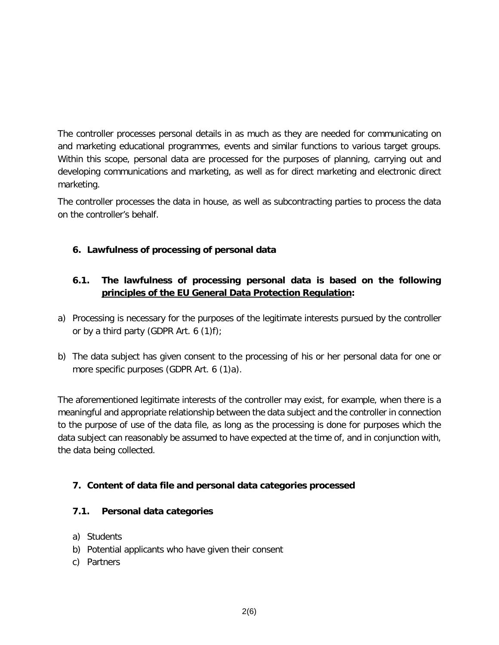The controller processes personal details in as much as they are needed for communicating on and marketing educational programmes, events and similar functions to various target groups. Within this scope, personal data are processed for the purposes of planning, carrying out and developing communications and marketing, as well as for direct marketing and electronic direct marketing.

The controller processes the data in house, as well as subcontracting parties to process the data on the controller's behalf.

# **6. Lawfulness of processing of personal data**

## **6.1. The lawfulness of processing personal data is based on the following principles of the EU General Data Protection Regulation:**

- a) Processing is necessary for the purposes of the legitimate interests pursued by the controller or by a third party (GDPR Art. 6 (1)f);
- b) The data subject has given consent to the processing of his or her personal data for one or more specific purposes (GDPR Art. 6 (1)a).

The aforementioned legitimate interests of the controller may exist, for example, when there is a meaningful and appropriate relationship between the data subject and the controller in connection to the purpose of use of the data file, as long as the processing is done for purposes which the data subject can reasonably be assumed to have expected at the time of, and in conjunction with, the data being collected.

### **7. Content of data file and personal data categories processed**

### **7.1. Personal data categories**

- a) Students
- b) Potential applicants who have given their consent
- c) Partners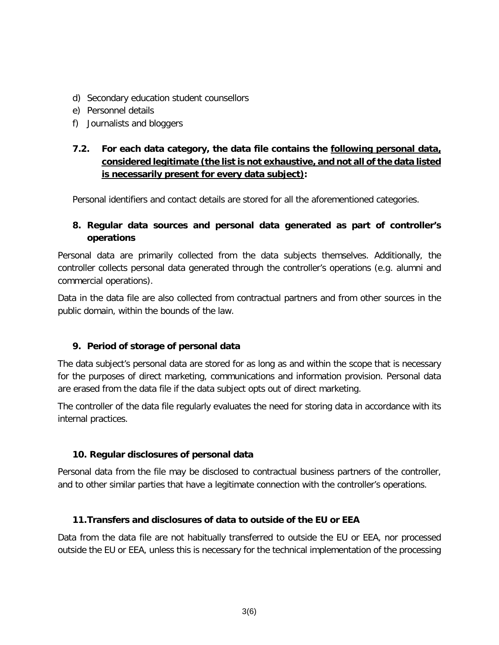- d) Secondary education student counsellors
- e) Personnel details
- f) Journalists and bloggers

# **7.2. For each data category, the data file contains the following personal data, considered legitimate (the list is not exhaustive, and not all of the data listed is necessarily present for every data subject):**

Personal identifiers and contact details are stored for all the aforementioned categories.

## **8. Regular data sources and personal data generated as part of controller's operations**

Personal data are primarily collected from the data subjects themselves. Additionally, the controller collects personal data generated through the controller's operations (e.g. alumni and commercial operations).

Data in the data file are also collected from contractual partners and from other sources in the public domain, within the bounds of the law.

### **9. Period of storage of personal data**

The data subject's personal data are stored for as long as and within the scope that is necessary for the purposes of direct marketing, communications and information provision. Personal data are erased from the data file if the data subject opts out of direct marketing.

The controller of the data file regularly evaluates the need for storing data in accordance with its internal practices.

### **10. Regular disclosures of personal data**

Personal data from the file may be disclosed to contractual business partners of the controller, and to other similar parties that have a legitimate connection with the controller's operations.

### **11.Transfers and disclosures of data to outside of the EU or EEA**

Data from the data file are not habitually transferred to outside the EU or EEA, nor processed outside the EU or EEA, unless this is necessary for the technical implementation of the processing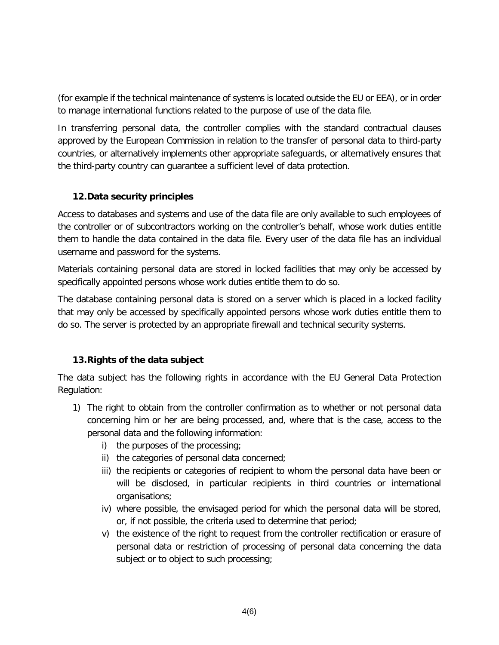(for example if the technical maintenance of systems is located outside the EU or EEA), or in order to manage international functions related to the purpose of use of the data file.

In transferring personal data, the controller complies with the standard contractual clauses approved by the European Commission in relation to the transfer of personal data to third-party countries, or alternatively implements other appropriate safeguards, or alternatively ensures that the third-party country can guarantee a sufficient level of data protection.

## **12.Data security principles**

Access to databases and systems and use of the data file are only available to such employees of the controller or of subcontractors working on the controller's behalf, whose work duties entitle them to handle the data contained in the data file. Every user of the data file has an individual username and password for the systems.

Materials containing personal data are stored in locked facilities that may only be accessed by specifically appointed persons whose work duties entitle them to do so.

The database containing personal data is stored on a server which is placed in a locked facility that may only be accessed by specifically appointed persons whose work duties entitle them to do so. The server is protected by an appropriate firewall and technical security systems.

# **13.Rights of the data subject**

The data subject has the following rights in accordance with the EU General Data Protection Regulation:

- 1) The right to obtain from the controller confirmation as to whether or not personal data concerning him or her are being processed, and, where that is the case, access to the personal data and the following information:
	- i) the purposes of the processing;
	- ii) the categories of personal data concerned;
	- iii) the recipients or categories of recipient to whom the personal data have been or will be disclosed, in particular recipients in third countries or international organisations;
	- iv) where possible, the envisaged period for which the personal data will be stored, or, if not possible, the criteria used to determine that period;
	- v) the existence of the right to request from the controller rectification or erasure of personal data or restriction of processing of personal data concerning the data subject or to object to such processing;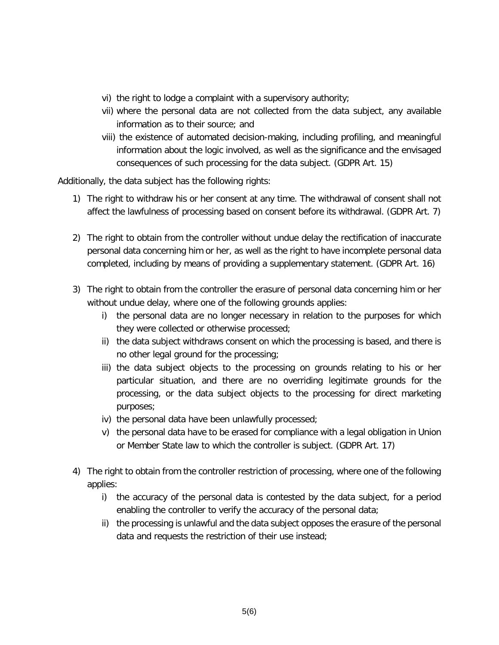- vi) the right to lodge a complaint with a supervisory authority;
- vii) where the personal data are not collected from the data subject, any available information as to their source; and
- viii) the existence of automated decision-making, including profiling, and meaningful information about the logic involved, as well as the significance and the envisaged consequences of such processing for the data subject. (GDPR Art. 15)

Additionally, the data subject has the following rights:

- 1) The right to withdraw his or her consent at any time. The withdrawal of consent shall not affect the lawfulness of processing based on consent before its withdrawal. (GDPR Art. 7)
- 2) The right to obtain from the controller without undue delay the rectification of inaccurate personal data concerning him or her, as well as the right to have incomplete personal data completed, including by means of providing a supplementary statement. (GDPR Art. 16)
- 3) The right to obtain from the controller the erasure of personal data concerning him or her without undue delay, where one of the following grounds applies:
	- i) the personal data are no longer necessary in relation to the purposes for which they were collected or otherwise processed;
	- ii) the data subject withdraws consent on which the processing is based, and there is no other legal ground for the processing;
	- iii) the data subject objects to the processing on grounds relating to his or her particular situation, and there are no overriding legitimate grounds for the processing, or the data subject objects to the processing for direct marketing purposes;
	- iv) the personal data have been unlawfully processed;
	- v) the personal data have to be erased for compliance with a legal obligation in Union or Member State law to which the controller is subject. (GDPR Art. 17)
- 4) The right to obtain from the controller restriction of processing, where one of the following applies:
	- i) the accuracy of the personal data is contested by the data subject, for a period enabling the controller to verify the accuracy of the personal data;
	- ii) the processing is unlawful and the data subject opposes the erasure of the personal data and requests the restriction of their use instead;